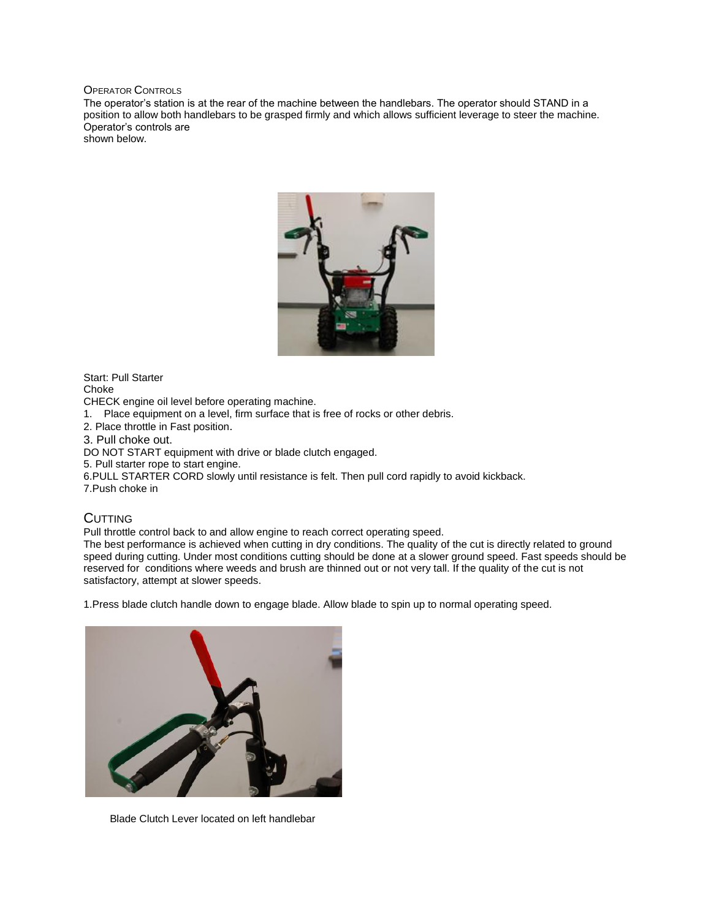OPERATOR CONTROLS

The operator's station is at the rear of the machine between the handlebars. The operator should STAND in a position to allow both handlebars to be grasped firmly and which allows sufficient leverage to steer the machine. Operator's controls are shown below.

## Start: Pull Starter Choke

CHECK engine oil level before operating machine.

1. Place equipment on a level, firm surface that is free of rocks or other debris.

2. Place throttle in Fast position.

3. Pull choke out.

DO NOT START equipment with drive or blade clutch engaged.

5. Pull starter rope to start engine.

6.PULL STARTER CORD slowly until resistance is felt. Then pull cord rapidly to avoid kickback.

7.Push choke in

## **CUTTING**

Pull throttle control back to and allow engine to reach correct operating speed.

The best performance is achieved when cutting in dry conditions. The quality of the cut is directly related to ground speed during cutting. Under most conditions cutting should be done at a slower ground speed. Fast speeds should be reserved for conditions where weeds and brush are thinned out or not very tall. If the quality of the cut is not satisfactory, attempt at slower speeds.

1.Press blade clutch handle down to engage blade. Allow blade to spin up to normal operating speed.



Blade Clutch Lever located on left handlebar